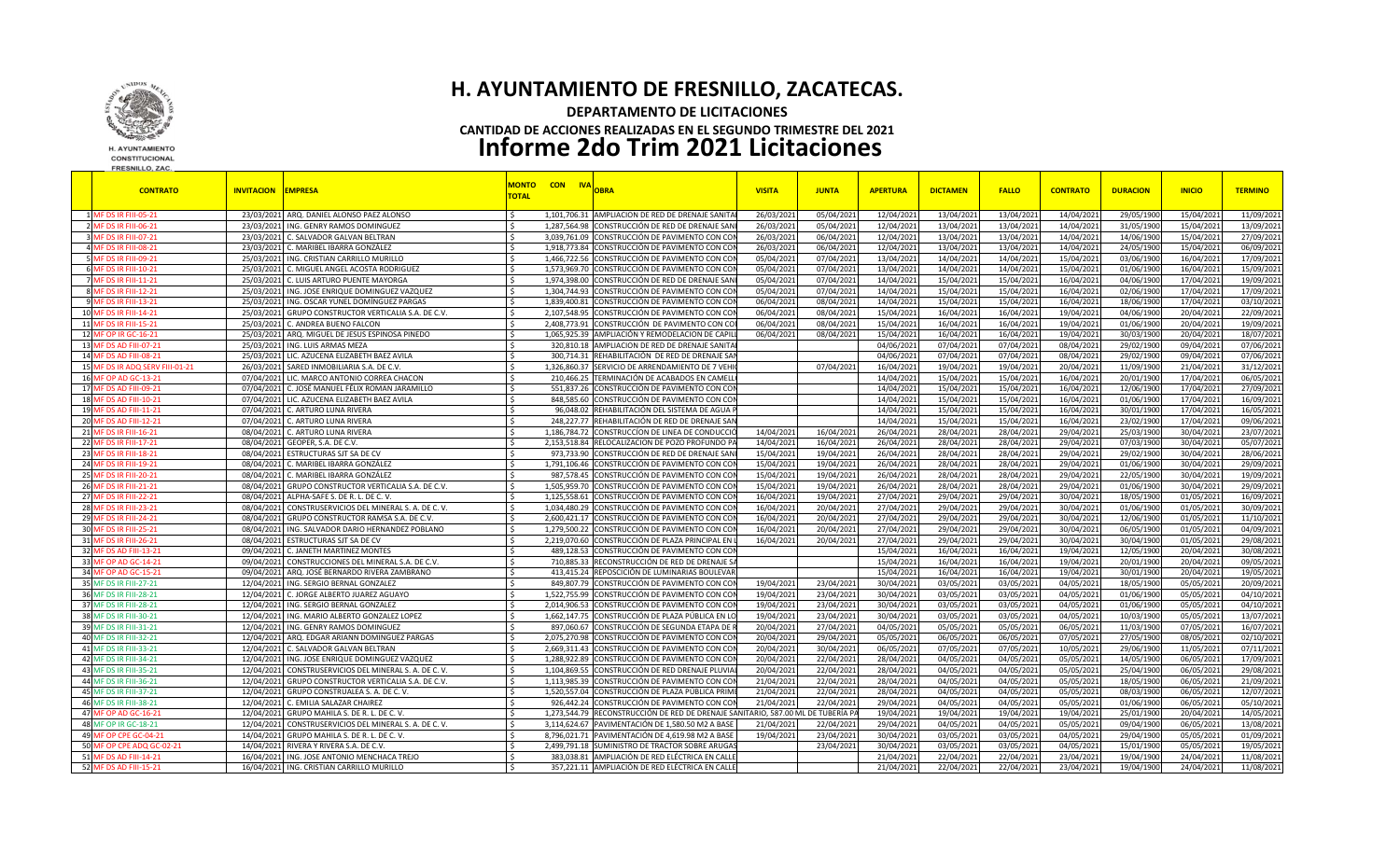

**H. AYUNTAMIENTO** CONSTITUCIONAL FRESNILLO, ZAC.

## **H. AYUNTAMIENTO DE FRESNILLO, ZACATECAS. DEPARTAMENTO DE LICITACIONES CANTIDAD DE ACCIONES REALIZADAS EN EL SEGUNDO TRIMESTRE DEL 2021 Informe 2do Trim 2021 Licitaciones**

| <b>CONTRATO</b>                 | <b>INVITACION EMPRESA</b>                              | <b>TOTAL</b>  | <b>MONTO CON IVA</b> | <b>OBRA</b>                                                                     | <b>VISITA</b> | <b>JUNTA</b> | <b>APERTURA</b> | <b>DICTAMEN</b> | <b>FALLO</b> | <b>CONTRATO</b> | <b>DURACION</b> | <b>INICIO</b> | <b>TERMINO</b> |
|---------------------------------|--------------------------------------------------------|---------------|----------------------|---------------------------------------------------------------------------------|---------------|--------------|-----------------|-----------------|--------------|-----------------|-----------------|---------------|----------------|
| 1 MF DS IR FIII-05-21           | 23/03/2021 ARQ. DANIEL ALONSO PAEZ ALONSO              |               |                      | 1,101,706.31 AMPLIACION DE RED DE DRENAJE SANITA                                | 26/03/202     | 05/04/202    | 12/04/202       | 13/04/202       | 13/04/202    | 14/04/202       | 29/05/190       | 15/04/202     | 11/09/2021     |
| 2 MF DS IR FIII-06-21           | 23/03/2021 ING. GENRY RAMOS DOMINGUEZ                  | $\leq$        |                      | 1,287,564.98 CONSTRUCCIÓN DE RED DE DRENAJE SAN                                 | 26/03/2021    | 05/04/202    | 12/04/202       | 13/04/202       | 13/04/202    | 14/04/202       | 31/05/1900      | 15/04/2021    | 13/09/2021     |
| 3 MF DS IR FIII-07-21           | 23/03/2021 C. SALVADOR GALVAN BELTRAN                  | -Ś            |                      | 3,039,761.09 CONSTRUCCIÓN DE PAVIMENTO CON CO                                   | 26/03/2021    | 06/04/202    | 12/04/202       | 13/04/202       | 13/04/2021   | 14/04/202       | 14/06/1900      | 15/04/2021    | 27/09/2021     |
| 4 MF DS IR FIII-08-21           | 23/03/2021 C. MARIBEL IBARRA GONZÁLEZ                  |               | 1.918.773.84         | CONSTRUCCIÓN DE PAVIMENTO CON COI                                               | 26/03/2021    | 06/04/2021   | 12/04/202       | 13/04/2021      | 13/04/2021   | 14/04/2021      | 24/05/1900      | 15/04/2021    | 06/09/2021     |
| 5 MF DS IR FIII-09-21           | 25/03/2021 ING. CRISTIAN CARRILLO MURILLO              | ∫ <           | 1.466.722.56         | CONSTRUCCIÓN DE PAVIMENTO CON CO                                                | 05/04/202     | 07/04/202    | 13/04/202       | 14/04/202       | 14/04/202    | 15/04/202       | 03/06/1900      | 16/04/2021    | 17/09/2021     |
| 6 MF DS IR FIII-10-21           | 25/03/2021 C. MIGUEL ANGEL ACOSTA RODRIGUEZ            | -Ś            |                      | 1,573,969.70 CONSTRUCCIÓN DE PAVIMENTO CON COI                                  | 05/04/2023    | 07/04/202    | 13/04/202       | 14/04/2021      | 14/04/202    | 15/04/202       | 01/06/1900      | 16/04/2021    | 15/09/2021     |
| 7 MF DS IR FIII-11-21           | 25/03/2021 C. LUIS ARTURO PUENTE MAYORGA               |               |                      | 1,974,398.00 CONSTRUCCIÓN DE RED DE DRENAJE SAN                                 | 05/04/2021    | 07/04/2021   | 14/04/202       | 15/04/202       | 15/04/202    | 16/04/202       | 04/06/1900      | 17/04/2021    | 19/09/2021     |
| 8 MF DS IR FIII-12-21           | 25/03/2021 ING. JOSE ENRIQUE DOMINGUEZ VAZQUEZ         |               | 1,304,744.93         | CONSTRUCCIÓN DE PAVIMENTO CON CO                                                | 05/04/202     | 07/04/202    | 14/04/202       | 15/04/202       | 15/04/202    | 16/04/202       | 02/06/190       | 17/04/2021    | 17/09/2021     |
| 9 MF DS IR FIII-13-21           | 25/03/2021 ING. OSCAR YUNEL DOMÍNGUEZ PARGAS           | l \$          | 1.839.400.81         | CONSTRUCCIÓN DE PAVIMENTO CON COI                                               | 06/04/2023    | 08/04/202    | 14/04/202       | 15/04/202       | 15/04/2021   | 16/04/202       | 18/06/1900      | 17/04/2021    | 03/10/2021     |
| 10 MF DS IR FIII-14-21          | 25/03/2021 GRUPO CONSTRUCTOR VERTICALIA S.A. DE C.V.   |               | 2,107,548.95         | CONSTRUCCIÓN DE PAVIMENTO CON COI                                               | 06/04/202     | 08/04/202    | 15/04/202       | 16/04/202       | 16/04/202    | 19/04/202       | 04/06/190       | 20/04/202     | 22/09/2021     |
| 11 MF DS IR FIII-15-21          | 25/03/2021 C. ANDREA BUENO FALCON                      | $\leq$        | 2.408.773.91         | CONSTRUCCIÓN DE PAVIMENTO CON CC                                                | 06/04/202     | 08/04/202    | 15/04/202       | 16/04/202       | 16/04/202    | 19/04/202       | 01/06/1900      | 20/04/2021    | 19/09/2021     |
| 12 MF OP IR GC-16-21            | 25/03/2021 ARQ, MIGUEL DE JESUS ESPINOSA PINEDO        | $\sim$        | 1.065.925.39         | AMPLIACIÓN Y REMODELACION DE CAPIL                                              | 06/04/2021    | 08/04/202    | 15/04/202       | 16/04/202       | 16/04/202    | 19/04/202       | 30/03/1900      | 20/04/2021    | 18/07/2021     |
| 13 MF DS AD FIII-07-21          | 25/03/2021 ING. LUIS ARMAS MEZA                        |               |                      | 320.810.18 AMPLIACION DE RED DE DRENAJE SANITA                                  |               |              | 04/06/202       | 07/04/2021      | 07/04/2021   | 08/04/202       | 29/02/1900      | 09/04/2021    | 07/06/2021     |
| 14 MF DS AD FIII-08-21          | 25/03/2021 LIC. AZUCENA ELIZABETH BAEZ AVILA           |               | 300.714.31           | REHABILITACIÓN DE RED DE DRENAJE SA                                             |               |              | 04/06/202       | 07/04/2021      | 07/04/202    | 08/04/202       | 29/02/1900      | 09/04/2021    | 07/06/2021     |
| 15 MF DS IR ADQ SERV FIII-01-21 | 26/03/2021 SARED INMOBILIARIA S.A. DE C.V              | -Ś.           | 1,326,860.37         | SERVICIO DE ARRENDAMIENTO DE 7 VEH                                              |               | 07/04/202    | 16/04/202       | 19/04/202       | 19/04/202    | 20/04/202       | 11/09/1900      | 21/04/2021    | 31/12/2021     |
| 16 MF OP AD GC-13-21            | 07/04/2021 LIC. MARCO ANTONIO CORREA CHACON            | l \$          |                      | 210,466.25 TERMINACIÓN DE ACABADOS EN CAMELI                                    |               |              | 14/04/202       | 15/04/2021      | 15/04/2021   | 16/04/202       | 20/01/1900      | 17/04/2021    | 06/05/2021     |
| 17 MF DS AD FIII-09-21          | 07/04/2021 C. JOSÉ MANUEL FÉLIX ROMAN JARAMILLO        |               |                      | 551,837.26 CONSTRUCCIÓN DE PAVIMENTO CON CO                                     |               |              | 14/04/202       | 15/04/2021      | 15/04/202    | 16/04/202       | 12/06/1900      | 17/04/202     | 27/09/2021     |
| 18 MF DS AD FIII-10-21          | 07/04/2021 LIC. AZUCENA ELIZABETH BAEZ AVILA           | $\leq$        | 848.585.60           | CONSTRUCCIÓN DE PAVIMENTO CON CO                                                |               |              | 14/04/202       | 15/04/202       | 15/04/202    | 16/04/202       | 01/06/190       | 17/04/202     | 16/09/2021     |
| 19 MF DS AD FIII-11-21          | 07/04/2021 C. ARTURO LUNA RIVERA                       | l \$          | 96.048.02            | REHABILITACIÓN DEL SISTEMA DE AGUA                                              |               |              | 14/04/202       | 15/04/202       | 15/04/202    | 16/04/202       | 30/01/1900      | 17/04/2021    | 16/05/2021     |
| 20 MF DS AD FIII-12-21          | 07/04/2021 C. ARTURO LUNA RIVERA                       | -Ś            |                      | 248,227.77 REHABILITACIÓN DE RED DE DRENAJE SAN                                 |               |              | 14/04/202       | 15/04/202       | 15/04/202    | 16/04/202       | 23/02/1900      | 17/04/202     | 09/06/2021     |
| 21 MF DS IR FIII-16-21          | 08/04/2021 C. ARTURO LUNA RIVERA                       | $\mathsf{S}$  | 1.186.784.72         | CONSTRUCCION DE LINEA DE CONDUCCIO                                              | 14/04/2021    | 16/04/2021   | 26/04/202       | 28/04/2021      | 28/04/2021   | 29/04/2021      | 25/03/1900      | 30/04/2021    | 23/07/2021     |
| 22 MF DS IR FIII-17-21          | 08/04/2021 GEOPER, S.A. DE C.V.                        | $\leq$        |                      | 2,153,518.84 RELOCALIZACION DE POZO PROFUNDO P                                  | 14/04/202     | 16/04/202    | 26/04/202       | 28/04/202       | 28/04/202    | 29/04/202       | 07/03/1900      | 30/04/2021    | 05/07/2021     |
| 23 MF DS IR FIII-18-21          | 08/04/2021 ESTRUCTURAS SJT SA DE CV                    | $\mathsf{S}$  |                      | 973,733.90 CONSTRUCCIÓN DE RED DE DRENAJE SAN                                   | 15/04/2021    | 19/04/202    | 26/04/202       | 28/04/2021      | 28/04/2021   | 29/04/202       | 29/02/1900      | 30/04/2021    | 28/06/2021     |
| 24 MF DS IR FIII-19-21          | 08/04/2021 C. MARIBEL IBARRA GONZÁLEZ                  |               | 1.791.106.46         | CONSTRUCCIÓN DE PAVIMENTO CON COI                                               | 15/04/2023    | 19/04/202    | 26/04/202       | 28/04/2021      | 28/04/202    | 29/04/202       | 01/06/1900      | 30/04/2021    | 29/09/2021     |
| 25 MF DS IR FIII-20-21          | 08/04/2021 C. MARIBEL IBARRA GONZÁLEZ                  | -Ś            | 987,578.45           | CONSTRUCCIÓN DE PAVIMENTO CON CO                                                | 15/04/202     | 19/04/202    | 26/04/202       | 28/04/202       | 28/04/202    | 29/04/202       | 22/05/1900      | 30/04/202     | 19/09/2021     |
| 26 MF DS IR FIII-21-21          | 08/04/2021 GRUPO CONSTRUCTOR VERTICALIA S.A. DE C.V.   | l \$          |                      | 1,505,959.70 CONSTRUCCIÓN DE PAVIMENTO CON CO                                   | 15/04/2021    | 19/04/202    | 26/04/202       | 28/04/202       | 28/04/2021   | 29/04/202       | 01/06/1900      | 30/04/2021    | 29/09/2021     |
| 27 MF DS IR FIII-22-21          | 08/04/2021 ALPHA-SAFE S. DE R. L. DE C. V.             |               | 1.125.558.61         | CONSTRUCCIÓN DE PAVIMENTO CON COI                                               | 16/04/202     | 19/04/202    | 27/04/202       | 29/04/202       | 29/04/202    | 30/04/202       | 18/05/1900      | 01/05/2021    | 16/09/2021     |
| 28 MF DS IR FIII-23-21          | 08/04/2021 CONSTRUSERVICIOS DEL MINERAL S. A. DE C. V. | $\zeta$       | 1.034.480.29         | CONSTRUCCIÓN DE PAVIMENTO CON CO                                                | 16/04/2021    | 20/04/202    | 27/04/202       | 29/04/202       | 29/04/2021   | 30/04/202       | 01/06/1900      | 01/05/2021    | 30/09/2021     |
| 29 MF DS IR FIII-24-21          | 08/04/2021 GRUPO CONSTRUCTOR RAMSA S.A. DE C.V         | l \$          | 2.600.421.17         | CONSTRUCCIÓN DE PAVIMENTO CON CO                                                | 16/04/202     | 20/04/202    | 27/04/202       | 29/04/202       | 29/04/202    | 30/04/202       | 12/06/1900      | 01/05/2021    | 11/10/2021     |
| 30 MF DS IR FIII-25-21          | 08/04/2021 ING. SALVADOR DARIO HERNANDEZ POBLANO       | l Ś           | 1,279,500.22         | CONSTRUCCIÓN DE PAVIMENTO CON COI                                               | 16/04/2021    | 20/04/202    | 27/04/202       | 29/04/2021      | 29/04/2021   | 30/04/202       | 06/05/1900      | 01/05/2021    | 04/09/2021     |
| 31 MF DS IR FIII-26-21          | 08/04/2021 ESTRUCTURAS SJT SA DE CV                    |               |                      | 2,219,070.60 CONSTRUCCIÓN DE PLAZA PRINCIPAL EN                                 | 16/04/2021    | 20/04/2021   | 27/04/202       | 29/04/202       | 29/04/2021   | 30/04/202       | 30/04/1900      | 01/05/2021    | 29/08/2021     |
| 32 MF DS AD FIII-13-21          | 09/04/2021 C. JANETH MARTINEZ MONTES                   | $\zeta$       | 489,128.53           | CONSTRUCCIÓN DE PAVIMENTO CON CO                                                |               |              | 15/04/202       | 16/04/202       | 16/04/202    | 19/04/202       | 12/05/1900      | 20/04/2021    | 30/08/2021     |
| 33 MF OP AD GC-14-21            | 09/04/2021 CONSTRUCCIONES DEL MINERAL S.A. DE C.V.     | $\zeta$       |                      | 710,885.33 RECONSTRUCCIÓN DE RED DE DRENAJE S                                   |               |              | 15/04/202       | 16/04/202       | 16/04/202    | 19/04/202       | 20/01/1900      | 20/04/2021    | 09/05/2021     |
| 34 MF OP AD GC-15-21            | 09/04/2021 ARQ. JOSÉ BERNARDO RIVERA ZAMBRANO          | <b>S</b>      |                      | 413,415.24 REPOSCICIÓN DE LUMINARIAS BOULEVAR                                   |               |              | 15/04/202       | 16/04/2021      | 16/04/2021   | 19/04/202       | 30/01/1900      | 20/04/2021    | 19/05/2021     |
| 35 MF DS IR FIII-27-21          | 12/04/2021 ING. SERGIO BERNAL GONZALEZ                 |               | 849.807.79           | CONSTRUCCIÓN DE PAVIMENTO CON COI                                               | 19/04/202     | 23/04/202    | 30/04/202       | 03/05/202       | 03/05/202    | 04/05/202       | 18/05/1900      | 05/05/202     | 20/09/2021     |
| 36 MF DS IR FIII-28-21          | 12/04/2021 C. JORGE ALBERTO JUAREZ AGUAYO              | l \$          | 1.522.755.99         | CONSTRUCCIÓN DE PAVIMENTO CON CO                                                | 19/04/202     | 23/04/202    | 30/04/202       | 03/05/202       | 03/05/202    | 04/05/202       | 01/06/1900      | 05/05/2021    | 04/10/2021     |
| 37 MF DS IR FIII-28-21          | 12/04/2021 ING. SERGIO BERNAL GONZALEZ                 |               | 2,014,906.53         | CONSTRUCCIÓN DE PAVIMENTO CON COI                                               | 19/04/2021    | 23/04/202    | 30/04/202       | 03/05/2021      | 03/05/2021   | 04/05/202       | 01/06/1900      | 05/05/2021    | 04/10/2021     |
| 38 MF DS IR FIII-30-21          | 12/04/2021 ING. MARIO ALBERTO GONZALEZ LOPEZ           |               | 1.662.147.75         | CONSTRUCCIÓN DE PLAZA PÚBLICA EN LO                                             | 19/04/2021    | 23/04/202    | 30/04/202       | 03/05/2021      | 03/05/202    | 04/05/202       | 10/03/1900      | 05/05/2021    | 13/07/2021     |
| 39 MF DS IR FIII-31-21          | 12/04/2021 ING. GENRY RAMOS DOMINGUEZ                  | $\zeta$       | 897,060.67           | CONSTRUCCIÓN DE SEGUNDA ETAPA DE                                                | 20/04/202     | 27/04/202    | 04/05/202       | 05/05/202       | 05/05/202    | 06/05/202       | 11/03/190       | 07/05/2021    | 16/07/2021     |
| 40 MF DS IR FIII-32-21          | 12/04/2021 ARQ. EDGAR ARIANN DOMINGUEZ PARGAS          | l S           |                      | 2,075,270.98 CONSTRUCCIÓN DE PAVIMENTO CON COI                                  | 20/04/2021    | 29/04/202    | 05/05/202       | 06/05/2021      | 06/05/2021   | 07/05/202       | 27/05/1900      | 08/05/2021    | 02/10/2021     |
| 41 MF DS IR FIII-33-21          | 12/04/2021 C. SALVADOR GALVAN BELTRAN                  |               | 2.669.311.43         | CONSTRUCCIÓN DE PAVIMENTO CON COI                                               | 20/04/2021    | 30/04/2021   | 06/05/202       | 07/05/2021      | 07/05/202    | 10/05/202       | 29/06/1900      | 11/05/2021    | 07/11/2021     |
| 42 MF DS IR FIII-34-21          | 12/04/2021 ING. JOSE ENRIQUE DOMINGUEZ VAZQUEZ         | $\zeta$       | 1.288.922.89         | CONSTRUCCIÓN DE PAVIMENTO CON CO                                                | 20/04/202     | 22/04/202    | 28/04/202       | 04/05/202       | 04/05/202    | 05/05/202       | 14/05/190       | 06/05/2021    | 17/09/2021     |
| 43 MF DS IR FIII-35-21          | 12/04/2021 CONSTRUSERVICIOS DEL MINERAL S. A. DE C. V  | l \$          | 1.104.869.55         | CONSTRUCCIÓN DE RED DRENAJE PLUVIA                                              | 20/04/2021    | 22/04/202    | 28/04/202       | 04/05/202       | 04/05/202    | 05/05/202       | 25/04/1900      | 06/05/2021    | 29/08/2021     |
| 44 MF DS IR FIII-36-21          | 12/04/2021 GRUPO CONSTRUCTOR VERTICALIA S.A. DE C.V    | $\mathsf{S}$  |                      | 1,113,985.39 CONSTRUCCIÓN DE PAVIMENTO CON COI                                  | 21/04/2021    | 22/04/202    | 28/04/202       | 04/05/2021      | 04/05/2021   | 05/05/202       | 18/05/1900      | 06/05/2021    | 21/09/2021     |
| 45 MF DS IR FIII-37-21          | 12/04/2021 GRUPO CONSTRUALEA S. A. DE C. V             | <sup>\$</sup> | 1,520,557.04         | CONSTRUCCIÓN DE PLAZA PÚBLICA PRIN                                              | 21/04/202     | 22/04/202    | 28/04/202       | 04/05/202       | 04/05/202    | 05/05/202       | 08/03/190       | 06/05/2021    | 12/07/2021     |
| 46 MF DS IR FIII-38-21          | 12/04/2021 C. EMILIA SALAZAR CHAIREZ                   | $\sim$        | 926,442.24           | CONSTRUCCIÓN DE PAVIMENTO CON CO                                                | 21/04/2021    | 22/04/202    | 29/04/202       | 04/05/202       | 04/05/202    | 05/05/202       | 01/06/1900      | 06/05/202     | 05/10/2021     |
| 47 MF OP AD GC-16-21            | 12/04/2021 GRUPO MAHILA S. DE R. L. DE C. V.           | $\mathsf{S}$  |                      | 1,273,544.79 RECONSTRUCCIÓN DE RED DE DRENAJE SANITARIO, 587.00 ML DE TUBERÍA P |               |              | 19/04/202       | 19/04/2021      | 19/04/2021   | 19/04/202       | 25/01/1900      | 20/04/2021    | 14/05/2021     |
| 48 MF OP IR GC-18-21            | 12/04/2021 CONSTRUSERVICIOS DEL MINERAL S. A. DE C. V. |               | 3.114.624.67         | PAVIMENTACIÓN DE 1,580.50 M2 A BASE                                             | 21/04/2021    | 22/04/202    | 29/04/202       | 04/05/2021      | 04/05/2021   | 05/05/202       | 09/04/1900      | 06/05/202     | 13/08/2021     |
| 49 MF OP CPE GC-04-21           | 14/04/2021 GRUPO MAHILA S. DE R. L. DE C. V            | $\zeta$       | 8.796.021.71         | PAVIMENTACIÓN DE 4,619.98 M2 A BASE                                             | 19/04/202     | 23/04/202    | 30/04/202       | 03/05/202       | 03/05/202    | 04/05/202       | 29/04/190       | 05/05/202     | 01/09/2021     |
| 50 MF OP CPE ADQ GC-02-21       | 14/04/2021 RIVERA Y RIVERA S.A. DE C.V.                | l \$          | 2.499.791.18         | SUMINISTRO DE TRACTOR SOBRE ARUGA                                               |               | 23/04/202    | 30/04/202       | 03/05/202       | 03/05/202    | 04/05/202       | 15/01/1900      | 05/05/202     | 19/05/2021     |
| 51 MF DS AD FIII-14-21          | 16/04/2021 ING. JOSE ANTONIO MENCHACA TREJO            |               |                      | 383.038.81 AMPLIACIÓN DE RED ELÉCTRICA EN CALLI                                 |               |              | 21/04/202       | 22/04/2021      | 22/04/2021   | 23/04/202       | 19/04/1900      | 24/04/202     | 11/08/2021     |
| 52 MF DS AD FIII-15-21          | 16/04/2021 ING. CRISTIAN CARRILLO MURILLO              | l s           |                      | 357,221.11 AMPLIACIÓN DE RED ELÉCTRICA EN CALLE                                 |               |              | 21/04/2021      | 22/04/2021      | 22/04/2021   | 23/04/2021      | 19/04/1900      | 24/04/2021    | 11/08/2021     |